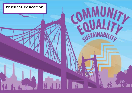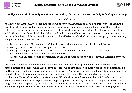



## *"Intelligence and skill can only function at the peak of their capacity when the body is healthy and strong"*

*- John F Kennedy* 

At Westbridge Academy, we recognise the value of Physical Education (PE) and its importance in leading a healthier lifestyle as well as impacting cognitive skills, attitudes and academic behaviour. These include enhanced concentration and attention as well as improved classroom behaviour. It is important that children at Westbridge learn how physical activity benefits the body and how exercise encourages healthy lifestyles into adulthood. Our children benefit from a broad and balanced Physical Education (PE) programme carefully designed to inspire learners to:

- become physically literate and confident in a way which supports their health and fitness
- be physically active for sustained periods of time
- engage in competitive sports and activities that build character and help to embed values
- succeed and excel in physical activities and sport
- discover skills, abilities and preferences, and make choices about how to get involved lifelong physical activity

PE teaches children to show self-discipline and that to be successful; they must show resilience and determination to achieve what they believe in. This will be emphasised in inter–year group competitions i.e. football, tennis, and sports day run throughout the year. This allows for controlled opportunities for children to understand fairness and develop tolerance and appreciation for their own and others' strengths and weaknesses. There will also be opportunities for KS2 children, who have a passion in PE, to become sports leaders where they will be responsible for supporting KS1 children regularly in sporting activities on the playground and on sports day. After school, there will be different extra-curricular sports clubs run that will change throughout the year. This will allow children that have a passion to participate in more physical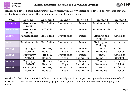



activity and develop their skills further. This passion will allow Westbridge to develop sports teams that will be able to compete against other school at a variety of competitions.

| Year             | <b>Autumn 1</b> | <b>Autumn 2</b>    | Spring 1   | Spring 2  | <b>Summer 1</b> | <b>Summer 2</b>  |
|------------------|-----------------|--------------------|------------|-----------|-----------------|------------------|
| <b>Nursery</b>   | Introduction    | <b>Ball Skills</b> | Gymnastics | Dance     | Fundamentals    | Games            |
|                  | to PE           |                    |            |           |                 |                  |
| <b>Reception</b> | Introduction    | <b>Ball Skills</b> | Gymnastics | Dance     | Fundamentals    | Games            |
|                  | to PE           |                    |            |           |                 |                  |
| Year 1           | Fundamentals    | <b>Ball Skills</b> | Gymnastics | Dance     | Striking and    | Athletics        |
|                  |                 |                    |            |           | Fielding        |                  |
| Year 2           | Fundamentals    | <b>Ball Skills</b> | Gymnastics | Dance     | Striking and    | Athletics        |
|                  |                 |                    |            |           | Fielding        |                  |
| Year 3           | Tag rugby       | Hockey             | Gymnastics | Dance     | Tennis          | <b>Athletics</b> |
|                  | <b>Netball</b>  | Handball           | Yoga       | Badminton | Rounders        | Cricket          |
| Year 4           | Tag rugby       | Hockey             | Gymnastics | Dance     | Tennis          | Athletics        |
|                  | Netball         | Handball           | Yoga       | Badminton | Rounders        | Cricket          |
| Year 5           | Tag rugby       | Hockey             | Gymnastics | Dance     | Tennis          | Athletics        |
|                  | <b>Netball</b>  | Handball           | Yoga       | Badminton | Rounders        | Cricket          |
| Year 6           | Tag Rugby       | Hockey             | Gymnastics | Dance     | Tennis          | Athletics        |
|                  | <b>Netball</b>  | Handball           | Yoga       | Badminton | Rounders        | Cricket          |

We aim for 80% of KS2 and 60% of KS1 to have participated in a competition by the time they leave school. Most importantly, PE will be fun and engaging for all pupils to build the foundation of lifelong physical activity.